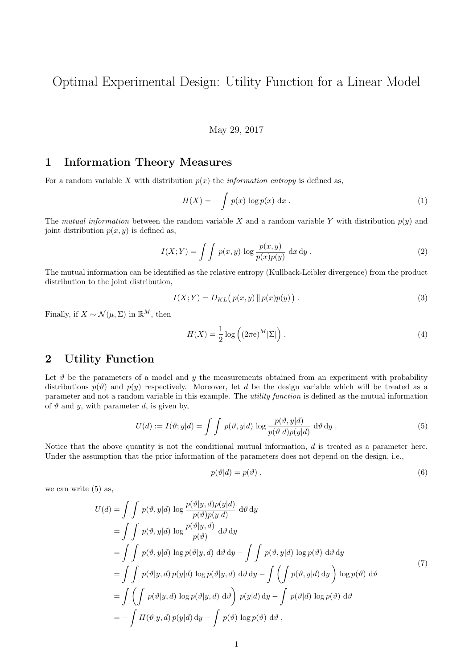Optimal Experimental Design: Utility Function for a Linear Model

## May 29, 2017

## 1 Information Theory Measures

For a random variable X with distribution  $p(x)$  the *information entropy* is defined as,

$$
H(X) = -\int p(x) \log p(x) dx.
$$
 (1)

The mutual information between the random variable X and a random variable Y with distribution  $p(y)$  and joint distribution  $p(x, y)$  is defined as,

$$
I(X;Y) = \int \int p(x,y) \log \frac{p(x,y)}{p(x)p(y)} dx dy.
$$
 (2)

The mutual information can be identified as the relative entropy (Kullback-Leibler divergence) from the product distribution to the joint distribution,

$$
I(X;Y) = D_{KL}(p(x,y) \| p(x)p(y)).
$$
\n(3)

Finally, if  $X \sim \mathcal{N}(\mu, \Sigma)$  in  $\mathbb{R}^M$ , then

$$
H(X) = \frac{1}{2} \log \left( (2\pi e)^M |\Sigma| \right).
$$
 (4)

## 2 Utility Function

Let  $\vartheta$  be the parameters of a model and y the measurements obtained from an experiment with probability distributions  $p(\vartheta)$  and  $p(\vartheta)$  respectively. Moreover, let d be the design variable which will be treated as a parameter and not a random variable in this example. The utility function is defined as the mutual information of  $\vartheta$  and  $y$ , with parameter  $d$ , is given by,

$$
U(d) := I(\vartheta; y|d) = \int \int p(\vartheta, y|d) \log \frac{p(\vartheta, y|d)}{p(\vartheta|d)p(y|d)} d\vartheta d\vartheta.
$$
\n(5)

Notice that the above quantity is not the conditional mutual information,  $d$  is treated as a parameter here. Under the assumption that the prior information of the parameters does not depend on the design, i.e.,

$$
p(\vartheta|d) = p(\vartheta) \tag{6}
$$

we can write (5) as,

$$
U(d) = \int \int p(\vartheta, y|d) \log \frac{p(\vartheta|y, d)p(y|d)}{p(\vartheta)p(y|d)} d\vartheta d\vartheta
$$
  
\n
$$
= \int \int p(\vartheta, y|d) \log \frac{p(\vartheta|y, d)}{p(\vartheta)} d\vartheta d\vartheta
$$
  
\n
$$
= \int \int p(\vartheta, y|d) \log p(\vartheta|y, d) d\vartheta d\vartheta - \int \int p(\vartheta, y|d) \log p(\vartheta) d\vartheta d\vartheta
$$
  
\n
$$
= \int \int p(\vartheta|y, d) p(y|d) \log p(\vartheta|y, d) d\vartheta d\vartheta - \int (\int p(\vartheta, y|d) d\vartheta) \log p(\vartheta) d\vartheta
$$
  
\n
$$
= \int (\int p(\vartheta|y, d) \log p(\vartheta|y, d) d\vartheta) p(y|d) d\vartheta - \int p(\vartheta|d) \log p(\vartheta) d\vartheta
$$
  
\n
$$
= - \int H(\vartheta|y, d) p(y|d) d\vartheta - \int p(\vartheta) \log p(\vartheta) d\vartheta,
$$
\n(7)